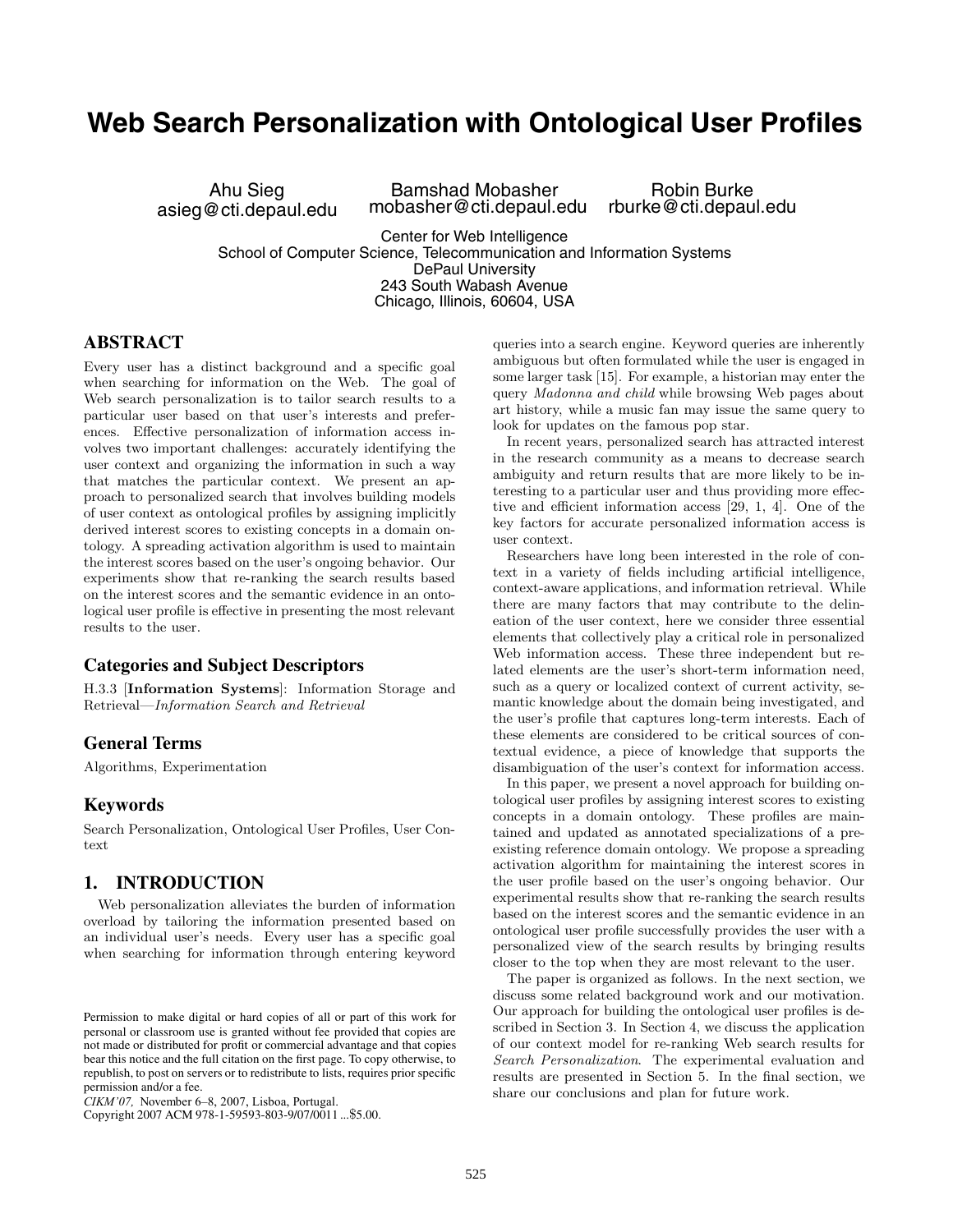# **Web Search Personalization with Ontological User Profiles**

Ahu Sieg asieg@cti.depaul.edu

Bamshad Mobasher mobasher@cti.depaul.edu

Robin Burke rburke@cti.depaul.edu

Center for Web Intelligence School of Computer Science, Telecommunication and Information Systems DePaul University 243 South Wabash Avenue Chicago, Illinois, 60604, USA

# **ABSTRACT**

Every user has a distinct background and a specific goal when searching for information on the Web. The goal of Web search personalization is to tailor search results to a particular user based on that user's interests and preferences. Effective personalization of information access involves two important challenges: accurately identifying the user context and organizing the information in such a way that matches the particular context. We present an approach to personalized search that involves building models of user context as ontological profiles by assigning implicitly derived interest scores to existing concepts in a domain ontology. A spreading activation algorithm is used to maintain the interest scores based on the user's ongoing behavior. Our experiments show that re-ranking the search results based on the interest scores and the semantic evidence in an ontological user profile is effective in presenting the most relevant results to the user.

#### **Categories and Subject Descriptors**

H.3.3 [**Information Systems**]: Information Storage and Retrieval—*Information Search and Retrieval*

## **General Terms**

Algorithms, Experimentation

#### **Keywords**

Search Personalization, Ontological User Profiles, User Context

# **1. INTRODUCTION**

Web personalization alleviates the burden of information overload by tailoring the information presented based on an individual user's needs. Every user has a specific goal when searching for information through entering keyword

Copyright 2007 ACM 978-1-59593-803-9/07/0011 ...\$5.00.

queries into a search engine. Keyword queries are inherently ambiguous but often formulated while the user is engaged in some larger task [15]. For example, a historian may enter the query *Madonna and child* while browsing Web pages about art history, while a music fan may issue the same query to look for updates on the famous pop star.

In recent years, personalized search has attracted interest in the research community as a means to decrease search ambiguity and return results that are more likely to be interesting to a particular user and thus providing more effective and efficient information access [29, 1, 4]. One of the key factors for accurate personalized information access is user context.

Researchers have long been interested in the role of context in a variety of fields including artificial intelligence, context-aware applications, and information retrieval. While there are many factors that may contribute to the delineation of the user context, here we consider three essential elements that collectively play a critical role in personalized Web information access. These three independent but related elements are the user's short-term information need, such as a query or localized context of current activity, semantic knowledge about the domain being investigated, and the user's profile that captures long-term interests. Each of these elements are considered to be critical sources of contextual evidence, a piece of knowledge that supports the disambiguation of the user's context for information access.

In this paper, we present a novel approach for building ontological user profiles by assigning interest scores to existing concepts in a domain ontology. These profiles are maintained and updated as annotated specializations of a preexisting reference domain ontology. We propose a spreading activation algorithm for maintaining the interest scores in the user profile based on the user's ongoing behavior. Our experimental results show that re-ranking the search results based on the interest scores and the semantic evidence in an ontological user profile successfully provides the user with a personalized view of the search results by bringing results closer to the top when they are most relevant to the user.

The paper is organized as follows. In the next section, we discuss some related background work and our motivation. Our approach for building the ontological user profiles is described in Section 3. In Section 4, we discuss the application of our context model for re-ranking Web search results for *Search Personalization*. The experimental evaluation and results are presented in Section 5. In the final section, we share our conclusions and plan for future work.

Permission to make digital or hard copies of all or part of this work for personal or classroom use is granted without fee provided that copies are not made or distributed for profit or commercial advantage and that copies bear this notice and the full citation on the first page. To copy otherwise, to republish, to post on servers or to redistribute to lists, requires prior specific permission and/or a fee.

*CIKM'07,* November 6–8, 2007, Lisboa, Portugal.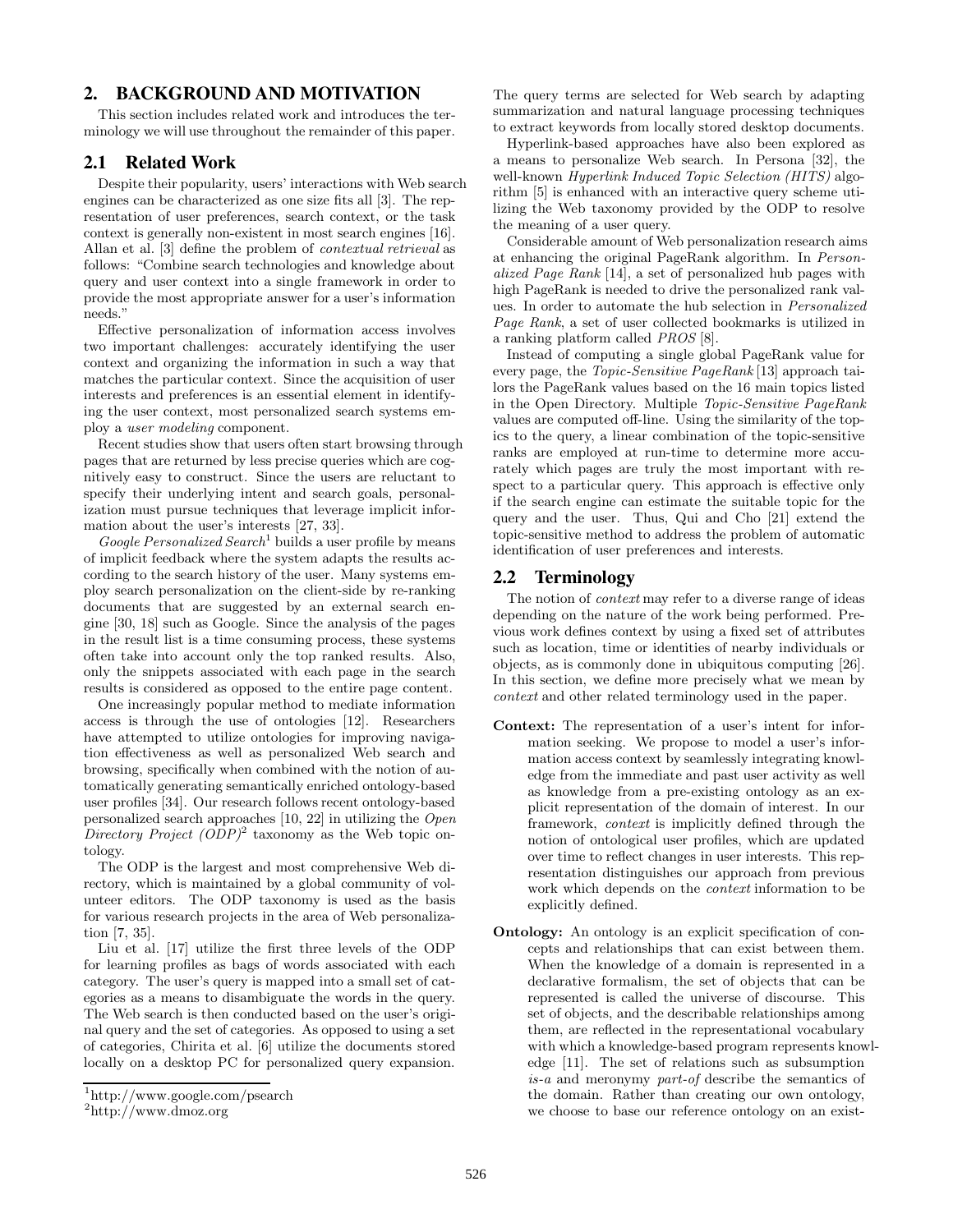# **2. BACKGROUND AND MOTIVATION**

This section includes related work and introduces the terminology we will use throughout the remainder of this paper.

# **2.1 Related Work**

Despite their popularity, users' interactions with Web search engines can be characterized as one size fits all [3]. The representation of user preferences, search context, or the task context is generally non-existent in most search engines [16]. Allan et al. [3] define the problem of *contextual retrieval* as follows: "Combine search technologies and knowledge about query and user context into a single framework in order to provide the most appropriate answer for a user's information needs."

Effective personalization of information access involves two important challenges: accurately identifying the user context and organizing the information in such a way that matches the particular context. Since the acquisition of user interests and preferences is an essential element in identifying the user context, most personalized search systems employ a *user modeling* component.

Recent studies show that users often start browsing through pages that are returned by less precise queries which are cognitively easy to construct. Since the users are reluctant to specify their underlying intent and search goals, personalization must pursue techniques that leverage implicit information about the user's interests [27, 33].

*Google Personalized Search*<sup>1</sup> builds a user profile by means of implicit feedback where the system adapts the results according to the search history of the user. Many systems employ search personalization on the client-side by re-ranking documents that are suggested by an external search engine [30, 18] such as Google. Since the analysis of the pages in the result list is a time consuming process, these systems often take into account only the top ranked results. Also, only the snippets associated with each page in the search results is considered as opposed to the entire page content.

One increasingly popular method to mediate information access is through the use of ontologies [12]. Researchers have attempted to utilize ontologies for improving navigation effectiveness as well as personalized Web search and browsing, specifically when combined with the notion of automatically generating semantically enriched ontology-based user profiles [34]. Our research follows recent ontology-based personalized search approaches [10, 22] in utilizing the *Open Directory Project (ODP)*<sup>2</sup> taxonomy as the Web topic ontology.

The ODP is the largest and most comprehensive Web directory, which is maintained by a global community of volunteer editors. The ODP taxonomy is used as the basis for various research projects in the area of Web personalization [7, 35].

Liu et al. [17] utilize the first three levels of the ODP for learning profiles as bags of words associated with each category. The user's query is mapped into a small set of categories as a means to disambiguate the words in the query. The Web search is then conducted based on the user's original query and the set of categories. As opposed to using a set of categories, Chirita et al. [6] utilize the documents stored locally on a desktop PC for personalized query expansion. The query terms are selected for Web search by adapting summarization and natural language processing techniques to extract keywords from locally stored desktop documents.

Hyperlink-based approaches have also been explored as a means to personalize Web search. In Persona [32], the well-known *Hyperlink Induced Topic Selection (HITS)* algorithm [5] is enhanced with an interactive query scheme utilizing the Web taxonomy provided by the ODP to resolve the meaning of a user query.

Considerable amount of Web personalization research aims at enhancing the original PageRank algorithm. In *Personalized Page Rank* [14], a set of personalized hub pages with high PageRank is needed to drive the personalized rank values. In order to automate the hub selection in *Personalized Page Rank*, a set of user collected bookmarks is utilized in a ranking platform called *PROS* [8].

Instead of computing a single global PageRank value for every page, the *Topic-Sensitive PageRank* [13] approach tailors the PageRank values based on the 16 main topics listed in the Open Directory. Multiple *Topic-Sensitive PageRank* values are computed off-line. Using the similarity of the topics to the query, a linear combination of the topic-sensitive ranks are employed at run-time to determine more accurately which pages are truly the most important with respect to a particular query. This approach is effective only if the search engine can estimate the suitable topic for the query and the user. Thus, Qui and Cho [21] extend the topic-sensitive method to address the problem of automatic identification of user preferences and interests.

# **2.2 Terminology**

The notion of *context* may refer to a diverse range of ideas depending on the nature of the work being performed. Previous work defines context by using a fixed set of attributes such as location, time or identities of nearby individuals or objects, as is commonly done in ubiquitous computing [26]. In this section, we define more precisely what we mean by *context* and other related terminology used in the paper.

- **Context:** The representation of a user's intent for information seeking. We propose to model a user's information access context by seamlessly integrating knowledge from the immediate and past user activity as well as knowledge from a pre-existing ontology as an explicit representation of the domain of interest. In our framework, *context* is implicitly defined through the notion of ontological user profiles, which are updated over time to reflect changes in user interests. This representation distinguishes our approach from previous work which depends on the *context* information to be explicitly defined.
- **Ontology:** An ontology is an explicit specification of concepts and relationships that can exist between them. When the knowledge of a domain is represented in a declarative formalism, the set of objects that can be represented is called the universe of discourse. This set of objects, and the describable relationships among them, are reflected in the representational vocabulary with which a knowledge-based program represents knowledge [11]. The set of relations such as subsumption *is-a* and meronymy *part-of* describe the semantics of the domain. Rather than creating our own ontology, we choose to base our reference ontology on an exist-

<sup>1</sup>http://www.google.com/psearch

<sup>2</sup>http://www.dmoz.org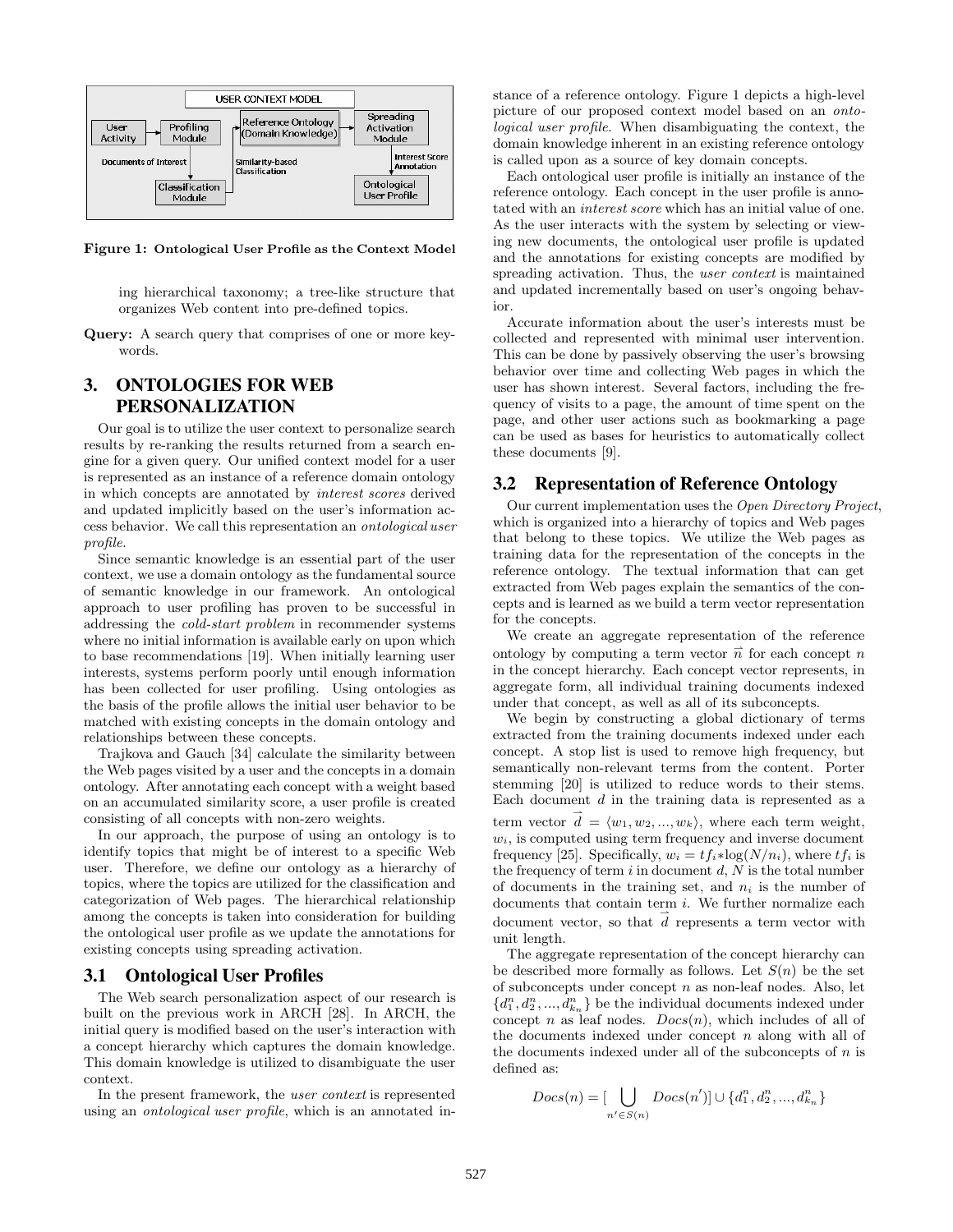

**Figure 1: Ontological User Profile as the Context Model**

ing hierarchical taxonomy; a tree-like structure that organizes Web content into pre-defined topics.

**Query:** A search query that comprises of one or more keywords.

# **3. ONTOLOGIES FOR WEB PERSONALIZATION**

Our goal is to utilize the user context to personalize search results by re-ranking the results returned from a search engine for a given query. Our unified context model for a user is represented as an instance of a reference domain ontology in which concepts are annotated by *interest scores* derived and updated implicitly based on the user's information access behavior. We call this representation an *ontological user profile*.

Since semantic knowledge is an essential part of the user context, we use a domain ontology as the fundamental source of semantic knowledge in our framework. An ontological approach to user profiling has proven to be successful in addressing the *cold-start problem* in recommender systems where no initial information is available early on upon which to base recommendations [19]. When initially learning user interests, systems perform poorly until enough information has been collected for user profiling. Using ontologies as the basis of the profile allows the initial user behavior to be matched with existing concepts in the domain ontology and relationships between these concepts.

Trajkova and Gauch [34] calculate the similarity between the Web pages visited by a user and the concepts in a domain ontology. After annotating each concept with a weight based on an accumulated similarity score, a user profile is created consisting of all concepts with non-zero weights.

In our approach, the purpose of using an ontology is to identify topics that might be of interest to a specific Web user. Therefore, we define our ontology as a hierarchy of topics, where the topics are utilized for the classification and categorization of Web pages. The hierarchical relationship among the concepts is taken into consideration for building the ontological user profile as we update the annotations for existing concepts using spreading activation.

#### **3.1 Ontological User Profiles**

The Web search personalization aspect of our research is built on the previous work in ARCH [28]. In ARCH, the initial query is modified based on the user's interaction with a concept hierarchy which captures the domain knowledge. This domain knowledge is utilized to disambiguate the user context.

In the present framework, the *user context* is represented using an *ontological user profile*, which is an annotated instance of a reference ontology. Figure 1 depicts a high-level picture of our proposed context model based on an *ontological user profile*. When disambiguating the context, the domain knowledge inherent in an existing reference ontology is called upon as a source of key domain concepts.

Each ontological user profile is initially an instance of the reference ontology. Each concept in the user profile is annotated with an *interest score* which has an initial value of one. As the user interacts with the system by selecting or viewing new documents, the ontological user profile is updated and the annotations for existing concepts are modified by spreading activation. Thus, the *user context* is maintained and updated incrementally based on user's ongoing behavior.

Accurate information about the user's interests must be collected and represented with minimal user intervention. This can be done by passively observing the user's browsing behavior over time and collecting Web pages in which the user has shown interest. Several factors, including the frequency of visits to a page, the amount of time spent on the page, and other user actions such as bookmarking a page can be used as bases for heuristics to automatically collect these documents [9].

#### **3.2 Representation of Reference Ontology**

Our current implementation uses the *Open Directory Project*, which is organized into a hierarchy of topics and Web pages that belong to these topics. We utilize the Web pages as training data for the representation of the concepts in the reference ontology. The textual information that can get extracted from Web pages explain the semantics of the concepts and is learned as we build a term vector representation for the concepts.

We create an aggregate representation of the reference ontology by computing a term vector  $\vec{n}$  for each concept n in the concept hierarchy. Each concept vector represents, in aggregate form, all individual training documents indexed under that concept, as well as all of its subconcepts.

We begin by constructing a global dictionary of terms extracted from the training documents indexed under each concept. A stop list is used to remove high frequency, but semantically non-relevant terms from the content. Porter stemming [20] is utilized to reduce words to their stems. Each document  $d$  in the training data is represented as a term vector  $\vec{d} = \langle w_1, w_2, ..., w_k \rangle$ , where each term weight,  $w_i$ , is computed using term frequency and inverse document frequency [25]. Specifically,  $w_i = tf_i * \log(N/n_i)$ , where  $tf_i$  is the frequency of term  $i$  in document  $d$ ,  $N$  is the total number of documents in the training set, and n*<sup>i</sup>* is the number of documents that contain term i. We further normalize each document vector, so that  $\vec{d}$  represents a term vector with unit length.

The aggregate representation of the concept hierarchy can be described more formally as follows. Let  $S(n)$  be the set of subconcepts under concept  $n$  as non-leaf nodes. Also, let  ${d_1^n, d_2^n, ..., d_{k_n}^n}$  be the individual documents indexed under concept n as leaf nodes.  $Docs(n)$ , which includes of all of the documents indexed under concept  $n$  along with all of the documents indexed under all of the subconcepts of  $n$  is defined as:

$$
Docs(n) = [\bigcup_{n' \in S(n)} Docs(n')] \cup \{d_1^n, d_2^n, ..., d_{k_n}^n\}
$$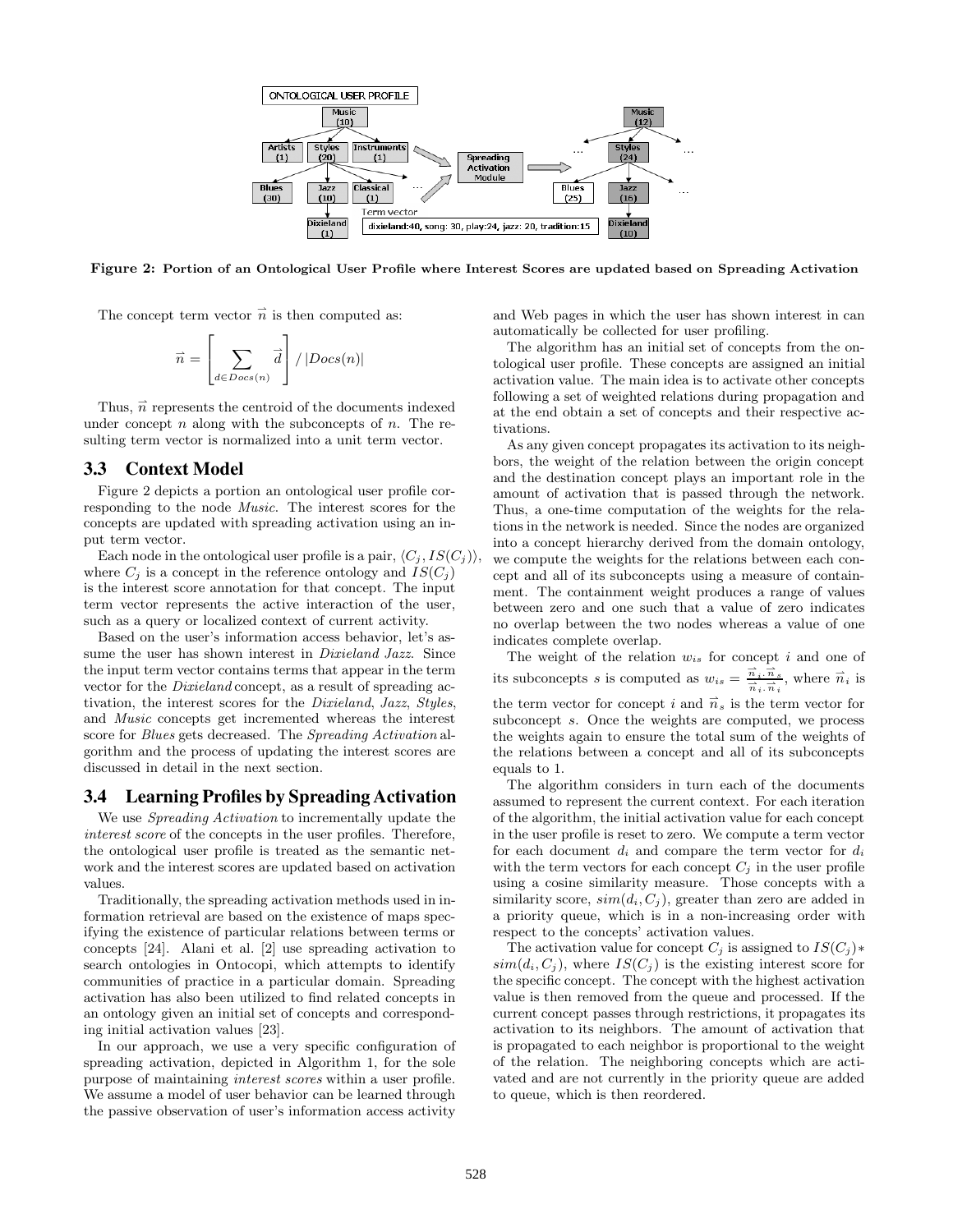

**Figure 2: Portion of an Ontological User Profile where Interest Scores are updated based on Spreading Activation**

The concept term vector  $\vec{n}$  is then computed as:

$$
\vec{n} = \left[\sum_{d \in Docs(n)} \vec{d}\right] / |Docs(n)|
$$

Thus,  $\vec{n}$  represents the centroid of the documents indexed under concept  $n$  along with the subconcepts of  $n$ . The resulting term vector is normalized into a unit term vector.

#### **3.3 Context Model**

Figure 2 depicts a portion an ontological user profile corresponding to the node *Music*. The interest scores for the concepts are updated with spreading activation using an input term vector.

Each node in the ontological user profile is a pair,  $\langle C_j, IS(C_j) \rangle$ , where  $C_j$  is a concept in the reference ontology and  $IS(C_j)$ is the interest score annotation for that concept. The input term vector represents the active interaction of the user, such as a query or localized context of current activity.

Based on the user's information access behavior, let's assume the user has shown interest in *Dixieland Jazz*. Since the input term vector contains terms that appear in the term vector for the *Dixieland* concept, as a result of spreading activation, the interest scores for the *Dixieland*, *Jazz*, *Styles*, and *Music* concepts get incremented whereas the interest score for *Blues* gets decreased. The *Spreading Activation* algorithm and the process of updating the interest scores are discussed in detail in the next section.

#### **3.4 Learning Profiles by Spreading Activation**

We use *Spreading Activation* to incrementally update the *interest score* of the concepts in the user profiles. Therefore, the ontological user profile is treated as the semantic network and the interest scores are updated based on activation values.

Traditionally, the spreading activation methods used in information retrieval are based on the existence of maps specifying the existence of particular relations between terms or concepts [24]. Alani et al. [2] use spreading activation to search ontologies in Ontocopi, which attempts to identify communities of practice in a particular domain. Spreading activation has also been utilized to find related concepts in an ontology given an initial set of concepts and corresponding initial activation values [23].

In our approach, we use a very specific configuration of spreading activation, depicted in Algorithm 1, for the sole purpose of maintaining *interest scores* within a user profile. We assume a model of user behavior can be learned through the passive observation of user's information access activity and Web pages in which the user has shown interest in can automatically be collected for user profiling.

The algorithm has an initial set of concepts from the ontological user profile. These concepts are assigned an initial activation value. The main idea is to activate other concepts following a set of weighted relations during propagation and at the end obtain a set of concepts and their respective activations.

As any given concept propagates its activation to its neighbors, the weight of the relation between the origin concept and the destination concept plays an important role in the amount of activation that is passed through the network. Thus, a one-time computation of the weights for the relations in the network is needed. Since the nodes are organized into a concept hierarchy derived from the domain ontology, we compute the weights for the relations between each concept and all of its subconcepts using a measure of containment. The containment weight produces a range of values between zero and one such that a value of zero indicates no overlap between the two nodes whereas a value of one indicates complete overlap.

The weight of the relation w*is* for concept i and one of its subconcepts s is computed as  $w_{is} = \frac{\vec{n}_i \cdot \vec{n}_s}{\vec{n}_i \cdot \vec{n}_i}$ , where  $\vec{n}_i$  is the term vector for concept i and  $\vec{n}_s$  is the term vector for subconcept s. Once the weights are computed, we process the weights again to ensure the total sum of the weights of the relations between a concept and all of its subconcepts equals to 1.

The algorithm considers in turn each of the documents assumed to represent the current context. For each iteration of the algorithm, the initial activation value for each concept in the user profile is reset to zero. We compute a term vector for each document d*<sup>i</sup>* and compare the term vector for d*<sup>i</sup>* with the term vectors for each concept  $C_i$  in the user profile using a cosine similarity measure. Those concepts with a similarity score,  $sim(d_i, C_j)$ , greater than zero are added in a priority queue, which is in a non-increasing order with respect to the concepts' activation values.

The activation value for concept  $C_j$  is assigned to  $IS(C_j)$ \*  $sim(d_i, C_i)$ , where  $IS(C_i)$  is the existing interest score for the specific concept. The concept with the highest activation value is then removed from the queue and processed. If the current concept passes through restrictions, it propagates its activation to its neighbors. The amount of activation that is propagated to each neighbor is proportional to the weight of the relation. The neighboring concepts which are activated and are not currently in the priority queue are added to queue, which is then reordered.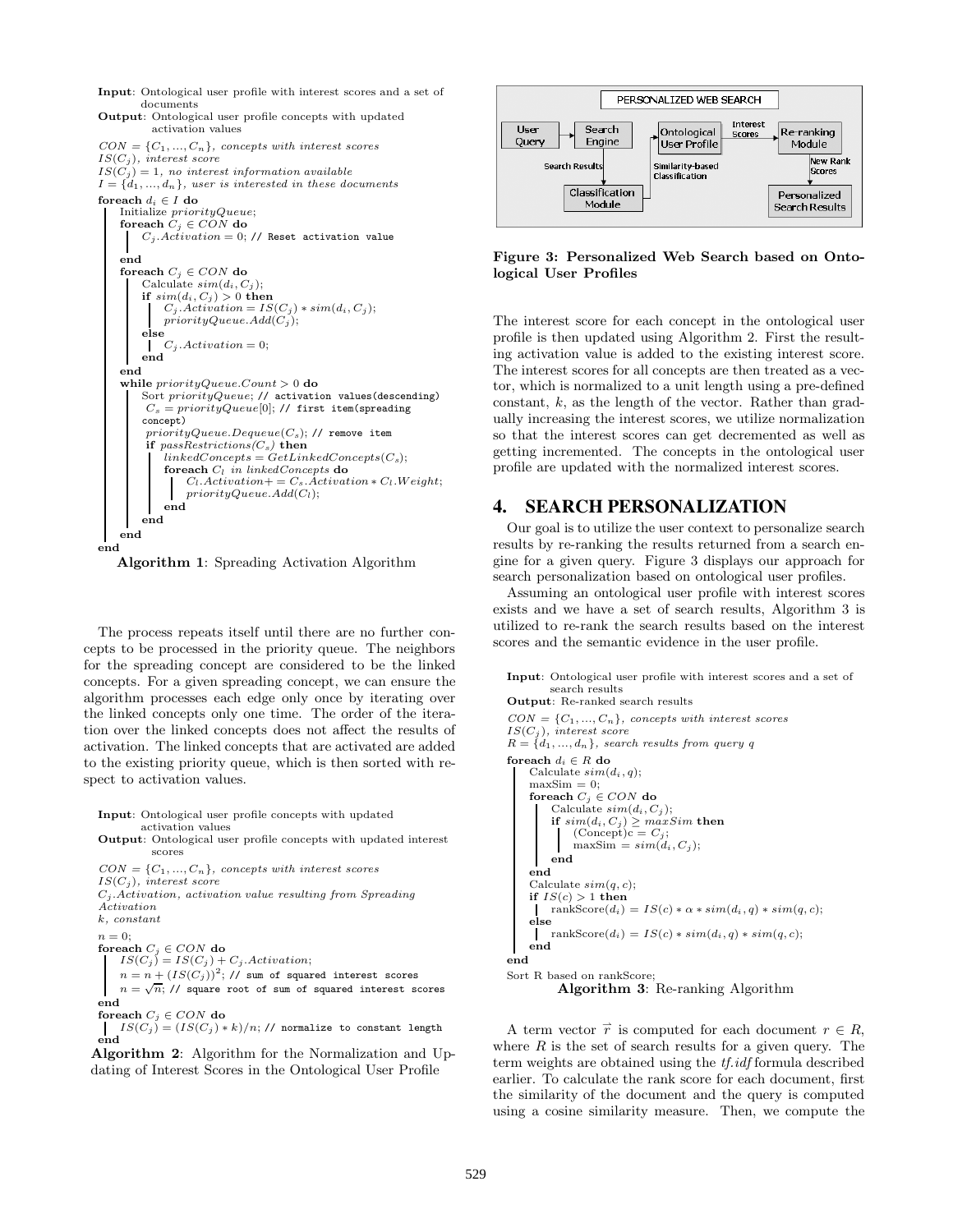



The process repeats itself until there are no further concepts to be processed in the priority queue. The neighbors for the spreading concept are considered to be the linked concepts. For a given spreading concept, we can ensure the algorithm processes each edge only once by iterating over the linked concepts only one time. The order of the iteration over the linked concepts does not affect the results of activation. The linked concepts that are activated are added to the existing priority queue, which is then sorted with respect to activation values.

**Input**: Ontological user profile concepts with updated activation values

**Output**: Ontological user profile concepts with updated interest scores  $CON = \{C_1, ..., C_n\}$ , concepts with interest scores

IS(C*j*)*, interest score* C*j*.Activation*, activation value resulting from Spreading Activation* k*, constant*  $n = 0$ ; **foreach**  $C_j \in CON$  **do**<br> **i**  $IS(C_j) = IS(C_j) + C_j$ . Activation;  $n = n + (IS(C<sub>j</sub>))^{2}$ ; // sum of squared interest scores  $n = \sqrt{n}$ ; // square root of sum of squared interest scores **end**  $$  $IS(C_j) = (IS(C_j) * k)/n; // normalize to constant length$ 

**Algorithm 2**: Algorithm for the Normalization and Updating of Interest Scores in the Ontological User Profile



#### **Figure 3: Personalized Web Search based on Ontological User Profiles**

The interest score for each concept in the ontological user profile is then updated using Algorithm 2. First the resulting activation value is added to the existing interest score. The interest scores for all concepts are then treated as a vector, which is normalized to a unit length using a pre-defined constant, k, as the length of the vector. Rather than gradually increasing the interest scores, we utilize normalization so that the interest scores can get decremented as well as getting incremented. The concepts in the ontological user profile are updated with the normalized interest scores.

## **4. SEARCH PERSONALIZATION**

Our goal is to utilize the user context to personalize search results by re-ranking the results returned from a search engine for a given query. Figure 3 displays our approach for search personalization based on ontological user profiles.

Assuming an ontological user profile with interest scores exists and we have a set of search results, Algorithm 3 is utilized to re-rank the search results based on the interest scores and the semantic evidence in the user profile.

```
Input: Ontological user profile with interest scores and a set of
        search results
Output: Re-ranked search results
CON = \{C_1, ..., C_n\}, concepts with interest scores
IS(C_j), interest score<br>R = \{d_1, ..., d_n\}, search results from query q
foreach d_i \in R do
    Calculate sim(d_i, q);
    maxSim = 0;
    foreach C_j \in CON do
        Calculate sim(d_i, C_j);
        if sim(d_i, C_j) \geq maxSim then
            (Concept)c = C<sub>i</sub>;maxSim = sim(d_i, C_j);end
    end
    Calculate sim(q, c);
    if IS(c) > 1 then
         rankScore(d_i) = IS(c) * \alpha * sim(d_i, q) * sim(q, c);else
     rankScore(d_i) = IS(c) * sim(d_i, q) * sim(q, c);end
end
Sort R based on rankScore;
          Algorithm 3: Re-ranking Algorithm
```
A term vector  $\vec{r}$  is computed for each document  $r \in R$ , where  $R$  is the set of search results for a given query. The term weights are obtained using the *tf.idf* formula described earlier. To calculate the rank score for each document, first the similarity of the document and the query is computed using a cosine similarity measure. Then, we compute the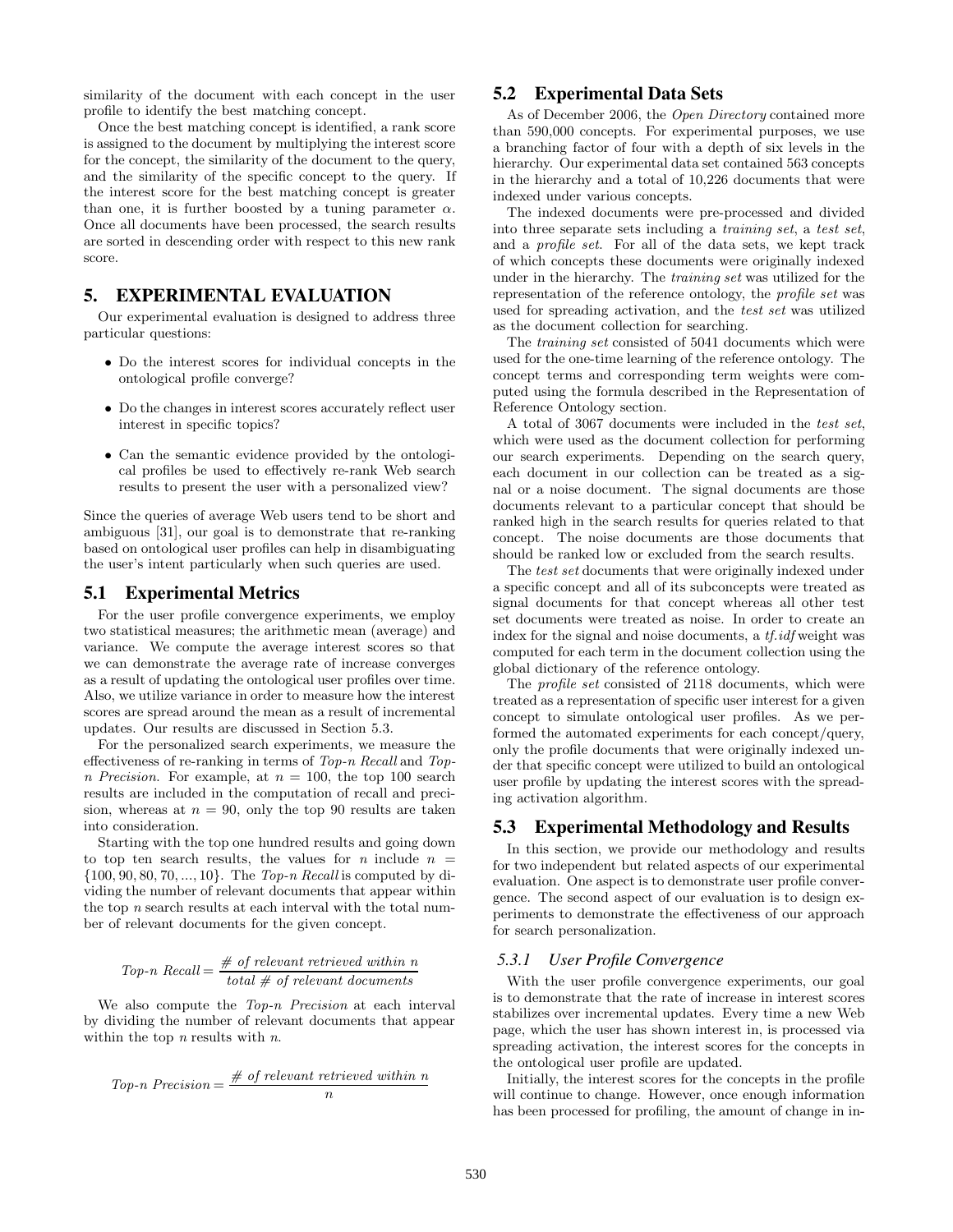similarity of the document with each concept in the user profile to identify the best matching concept.

Once the best matching concept is identified, a rank score is assigned to the document by multiplying the interest score for the concept, the similarity of the document to the query, and the similarity of the specific concept to the query. If the interest score for the best matching concept is greater than one, it is further boosted by a tuning parameter  $\alpha$ . Once all documents have been processed, the search results are sorted in descending order with respect to this new rank score.

# **5. EXPERIMENTAL EVALUATION**

Our experimental evaluation is designed to address three particular questions:

- Do the interest scores for individual concepts in the ontological profile converge?
- Do the changes in interest scores accurately reflect user interest in specific topics?
- Can the semantic evidence provided by the ontological profiles be used to effectively re-rank Web search results to present the user with a personalized view?

Since the queries of average Web users tend to be short and ambiguous [31], our goal is to demonstrate that re-ranking based on ontological user profiles can help in disambiguating the user's intent particularly when such queries are used.

#### **5.1 Experimental Metrics**

For the user profile convergence experiments, we employ two statistical measures; the arithmetic mean (average) and variance. We compute the average interest scores so that we can demonstrate the average rate of increase converges as a result of updating the ontological user profiles over time. Also, we utilize variance in order to measure how the interest scores are spread around the mean as a result of incremental updates. Our results are discussed in Section 5.3.

For the personalized search experiments, we measure the effectiveness of re-ranking in terms of *Top-n Recall* and *Topn Precision*. For example, at  $n = 100$ , the top 100 search results are included in the computation of recall and precision, whereas at  $n = 90$ , only the top 90 results are taken into consideration.

Starting with the top one hundred results and going down to top ten search results, the values for *n* include  $n =$ {100, 90, 80, 70, ..., 10}. The *Top-n Recall* is computed by dividing the number of relevant documents that appear within the top *n* search results at each interval with the total number of relevant documents for the given concept.

Top-n Recall = 
$$
\frac{\text{# of relevant retrieved within } n}{\text{total } \text{# of relevant documents}}
$$

We also compute the *Top-n Precision* at each interval by dividing the number of relevant documents that appear within the top *n* results with *n*.

Top-n Precision = 
$$
\frac{\text{\# of relevant retrieved within } n}{n}
$$

# **5.2 Experimental Data Sets**

As of December 2006, the *Open Directory* contained more than 590,000 concepts. For experimental purposes, we use a branching factor of four with a depth of six levels in the hierarchy. Our experimental data set contained 563 concepts in the hierarchy and a total of 10,226 documents that were indexed under various concepts.

The indexed documents were pre-processed and divided into three separate sets including a *training set*, a *test set*, and a *profile set*. For all of the data sets, we kept track of which concepts these documents were originally indexed under in the hierarchy. The *training set* was utilized for the representation of the reference ontology, the *profile set* was used for spreading activation, and the *test set* was utilized as the document collection for searching.

The *training set* consisted of 5041 documents which were used for the one-time learning of the reference ontology. The concept terms and corresponding term weights were computed using the formula described in the Representation of Reference Ontology section.

A total of 3067 documents were included in the *test set*, which were used as the document collection for performing our search experiments. Depending on the search query, each document in our collection can be treated as a signal or a noise document. The signal documents are those documents relevant to a particular concept that should be ranked high in the search results for queries related to that concept. The noise documents are those documents that should be ranked low or excluded from the search results.

The *test set* documents that were originally indexed under a specific concept and all of its subconcepts were treated as signal documents for that concept whereas all other test set documents were treated as noise. In order to create an index for the signal and noise documents, a *tf.idf* weight was computed for each term in the document collection using the global dictionary of the reference ontology.

The *profile set* consisted of 2118 documents, which were treated as a representation of specific user interest for a given concept to simulate ontological user profiles. As we performed the automated experiments for each concept/query, only the profile documents that were originally indexed under that specific concept were utilized to build an ontological user profile by updating the interest scores with the spreading activation algorithm.

#### **5.3 Experimental Methodology and Results**

In this section, we provide our methodology and results for two independent but related aspects of our experimental evaluation. One aspect is to demonstrate user profile convergence. The second aspect of our evaluation is to design experiments to demonstrate the effectiveness of our approach for search personalization.

#### *5.3.1 User Profile Convergence*

With the user profile convergence experiments, our goal is to demonstrate that the rate of increase in interest scores stabilizes over incremental updates. Every time a new Web page, which the user has shown interest in, is processed via spreading activation, the interest scores for the concepts in the ontological user profile are updated.

Initially, the interest scores for the concepts in the profile will continue to change. However, once enough information has been processed for profiling, the amount of change in in-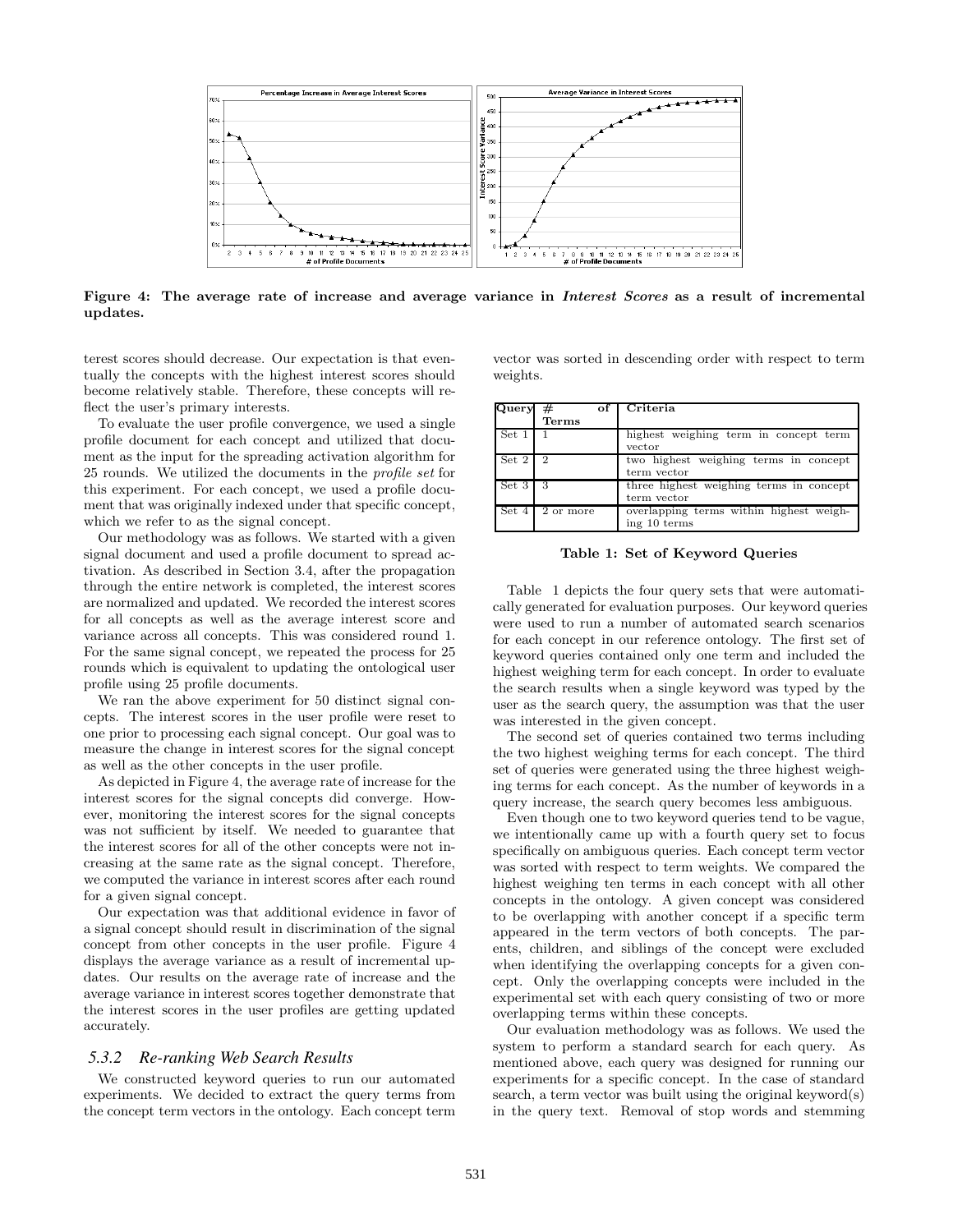

**Figure 4: The average rate of increase and average variance in** *Interest Scores* **as a result of incremental updates.**

terest scores should decrease. Our expectation is that eventually the concepts with the highest interest scores should become relatively stable. Therefore, these concepts will reflect the user's primary interests.

To evaluate the user profile convergence, we used a single profile document for each concept and utilized that document as the input for the spreading activation algorithm for 25 rounds. We utilized the documents in the *profile set* for this experiment. For each concept, we used a profile document that was originally indexed under that specific concept, which we refer to as the signal concept.

Our methodology was as follows. We started with a given signal document and used a profile document to spread activation. As described in Section 3.4, after the propagation through the entire network is completed, the interest scores are normalized and updated. We recorded the interest scores for all concepts as well as the average interest score and variance across all concepts. This was considered round 1. For the same signal concept, we repeated the process for 25 rounds which is equivalent to updating the ontological user profile using 25 profile documents.

We ran the above experiment for 50 distinct signal concepts. The interest scores in the user profile were reset to one prior to processing each signal concept. Our goal was to measure the change in interest scores for the signal concept as well as the other concepts in the user profile.

As depicted in Figure 4, the average rate of increase for the interest scores for the signal concepts did converge. However, monitoring the interest scores for the signal concepts was not sufficient by itself. We needed to guarantee that the interest scores for all of the other concepts were not increasing at the same rate as the signal concept. Therefore, we computed the variance in interest scores after each round for a given signal concept.

Our expectation was that additional evidence in favor of a signal concept should result in discrimination of the signal concept from other concepts in the user profile. Figure 4 displays the average variance as a result of incremental updates. Our results on the average rate of increase and the average variance in interest scores together demonstrate that the interest scores in the user profiles are getting updated accurately.

#### *5.3.2 Re-ranking Web Search Results*

We constructed keyword queries to run our automated experiments. We decided to extract the query terms from the concept term vectors in the ontology. Each concept term

vector was sorted in descending order with respect to term weights.

| Query | #<br>of<br>Terms | Criteria                                                |
|-------|------------------|---------------------------------------------------------|
| Set 1 |                  | highest weighing term in concept term<br>vector         |
| Set 2 | 2                | two highest weighing terms in concept<br>term vector    |
| Set 3 | 3                | three highest weighing terms in concept<br>term vector  |
| Set 4 | 2 or more        | overlapping terms within highest weigh-<br>ing 10 terms |

**Table 1: Set of Keyword Queries**

Table 1 depicts the four query sets that were automatically generated for evaluation purposes. Our keyword queries were used to run a number of automated search scenarios for each concept in our reference ontology. The first set of keyword queries contained only one term and included the highest weighing term for each concept. In order to evaluate the search results when a single keyword was typed by the user as the search query, the assumption was that the user was interested in the given concept.

The second set of queries contained two terms including the two highest weighing terms for each concept. The third set of queries were generated using the three highest weighing terms for each concept. As the number of keywords in a query increase, the search query becomes less ambiguous.

Even though one to two keyword queries tend to be vague, we intentionally came up with a fourth query set to focus specifically on ambiguous queries. Each concept term vector was sorted with respect to term weights. We compared the highest weighing ten terms in each concept with all other concepts in the ontology. A given concept was considered to be overlapping with another concept if a specific term appeared in the term vectors of both concepts. The parents, children, and siblings of the concept were excluded when identifying the overlapping concepts for a given concept. Only the overlapping concepts were included in the experimental set with each query consisting of two or more overlapping terms within these concepts.

Our evaluation methodology was as follows. We used the system to perform a standard search for each query. As mentioned above, each query was designed for running our experiments for a specific concept. In the case of standard search, a term vector was built using the original keyword(s) in the query text. Removal of stop words and stemming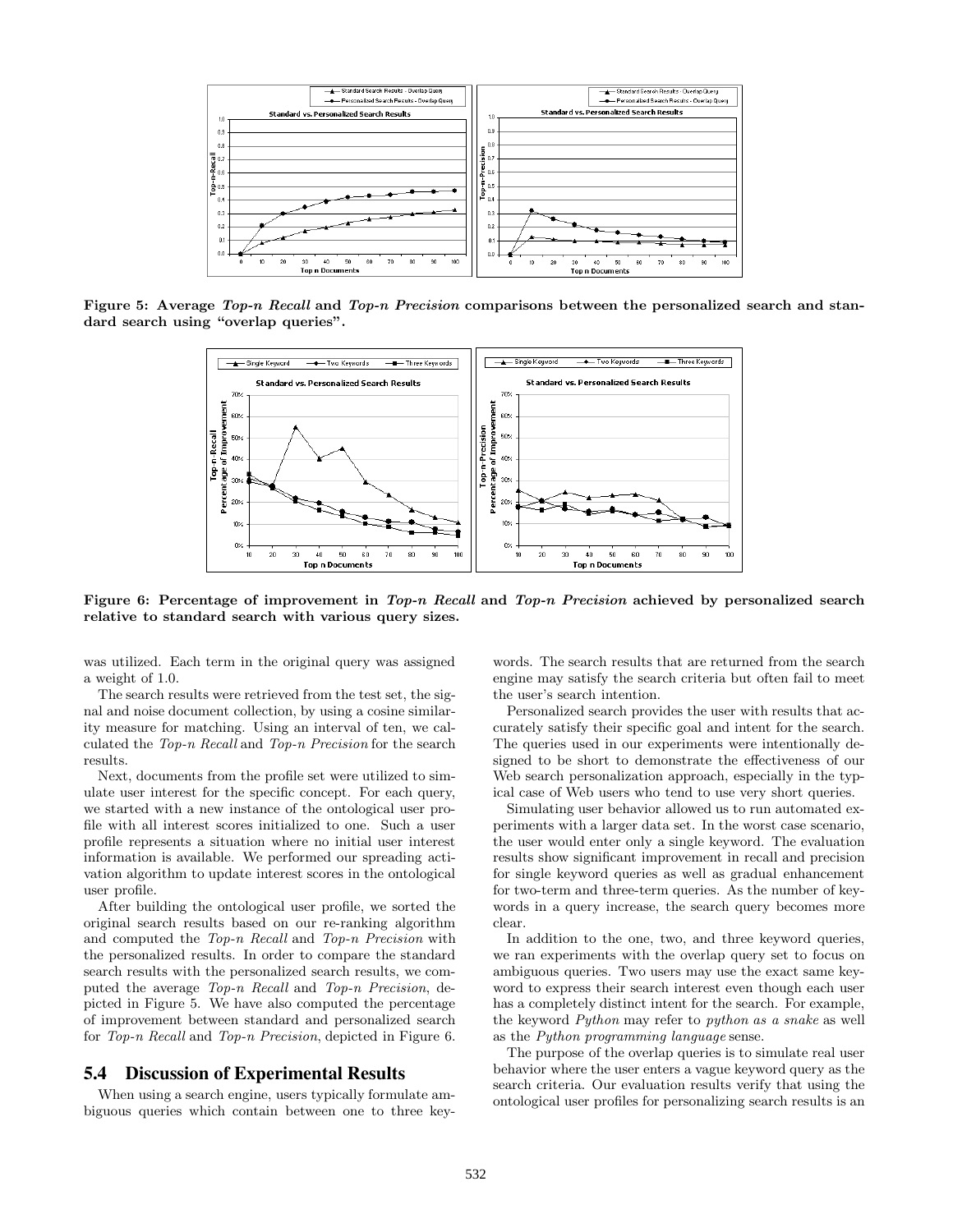

**Figure 5: Average** *Top-n Recall* **and** *Top-n Precision* **comparisons between the personalized search and standard search using "overlap queries".**



**Figure 6: Percentage of improvement in** *Top-n Recall* **and** *Top-n Precision* **achieved by personalized search relative to standard search with various query sizes.**

was utilized. Each term in the original query was assigned a weight of 1.0.

The search results were retrieved from the test set, the signal and noise document collection, by using a cosine similarity measure for matching. Using an interval of ten, we calculated the *Top-n Recall* and *Top-n Precision* for the search results.

Next, documents from the profile set were utilized to simulate user interest for the specific concept. For each query, we started with a new instance of the ontological user profile with all interest scores initialized to one. Such a user profile represents a situation where no initial user interest information is available. We performed our spreading activation algorithm to update interest scores in the ontological user profile.

After building the ontological user profile, we sorted the original search results based on our re-ranking algorithm and computed the *Top-n Recall* and *Top-n Precision* with the personalized results. In order to compare the standard search results with the personalized search results, we computed the average *Top-n Recall* and *Top-n Precision*, depicted in Figure 5. We have also computed the percentage of improvement between standard and personalized search for *Top-n Recall* and *Top-n Precision*, depicted in Figure 6.

#### **5.4 Discussion of Experimental Results**

When using a search engine, users typically formulate ambiguous queries which contain between one to three keywords. The search results that are returned from the search engine may satisfy the search criteria but often fail to meet the user's search intention.

Personalized search provides the user with results that accurately satisfy their specific goal and intent for the search. The queries used in our experiments were intentionally designed to be short to demonstrate the effectiveness of our Web search personalization approach, especially in the typical case of Web users who tend to use very short queries.

Simulating user behavior allowed us to run automated experiments with a larger data set. In the worst case scenario, the user would enter only a single keyword. The evaluation results show significant improvement in recall and precision for single keyword queries as well as gradual enhancement for two-term and three-term queries. As the number of keywords in a query increase, the search query becomes more clear.

In addition to the one, two, and three keyword queries, we ran experiments with the overlap query set to focus on ambiguous queries. Two users may use the exact same keyword to express their search interest even though each user has a completely distinct intent for the search. For example, the keyword *Python* may refer to *python as a snake* as well as the *Python programming language* sense.

The purpose of the overlap queries is to simulate real user behavior where the user enters a vague keyword query as the search criteria. Our evaluation results verify that using the ontological user profiles for personalizing search results is an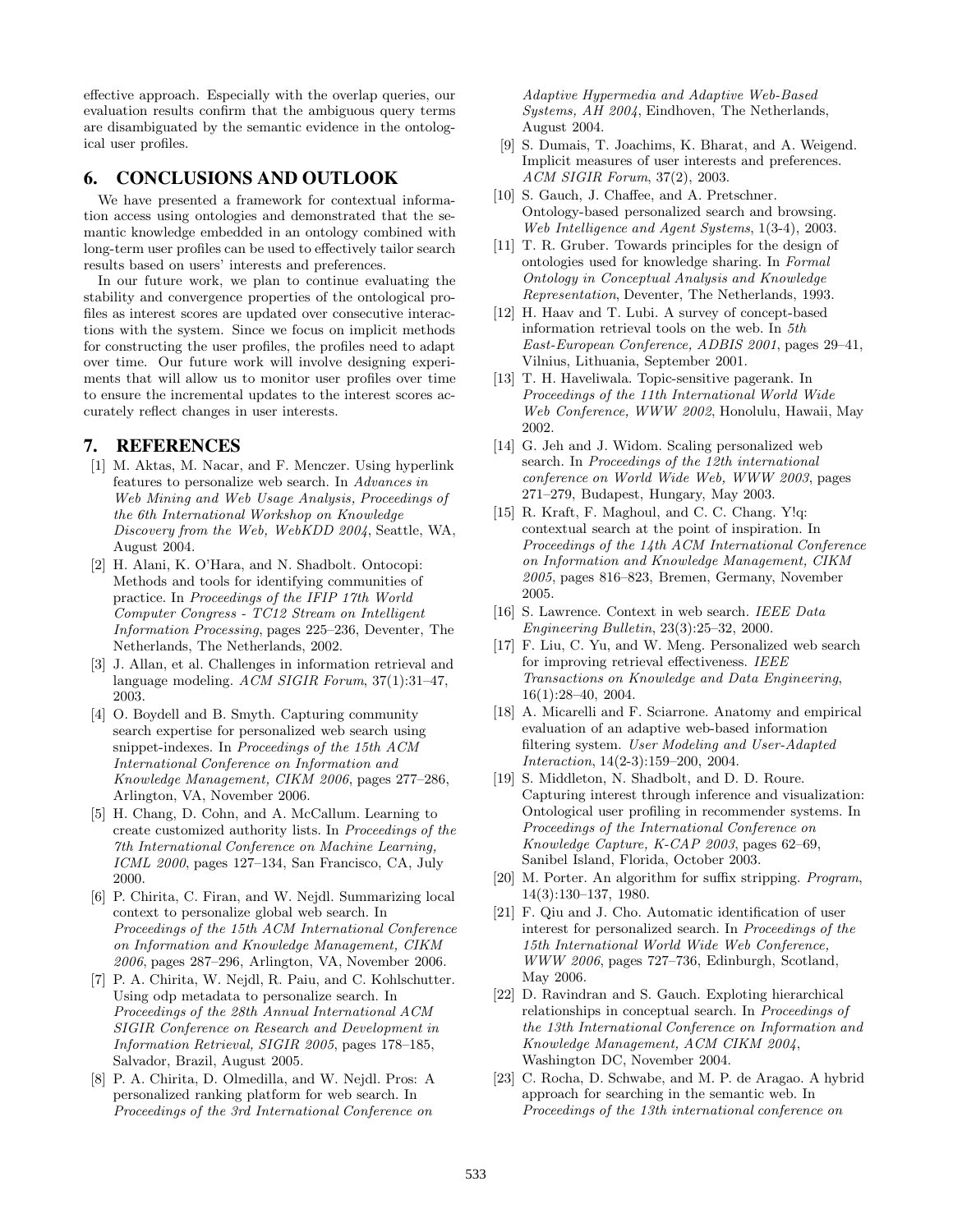effective approach. Especially with the overlap queries, our evaluation results confirm that the ambiguous query terms are disambiguated by the semantic evidence in the ontological user profiles.

# **6. CONCLUSIONS AND OUTLOOK**

We have presented a framework for contextual information access using ontologies and demonstrated that the semantic knowledge embedded in an ontology combined with long-term user profiles can be used to effectively tailor search results based on users' interests and preferences.

In our future work, we plan to continue evaluating the stability and convergence properties of the ontological profiles as interest scores are updated over consecutive interactions with the system. Since we focus on implicit methods for constructing the user profiles, the profiles need to adapt over time. Our future work will involve designing experiments that will allow us to monitor user profiles over time to ensure the incremental updates to the interest scores accurately reflect changes in user interests.

#### **7. REFERENCES**

- [1] M. Aktas, M. Nacar, and F. Menczer. Using hyperlink features to personalize web search. In *Advances in Web Mining and Web Usage Analysis, Proceedings of the 6th International Workshop on Knowledge Discovery from the Web, WebKDD 2004*, Seattle, WA, August 2004.
- [2] H. Alani, K. O'Hara, and N. Shadbolt. Ontocopi: Methods and tools for identifying communities of practice. In *Proceedings of the IFIP 17th World Computer Congress - TC12 Stream on Intelligent Information Processing*, pages 225–236, Deventer, The Netherlands, The Netherlands, 2002.
- [3] J. Allan, et al. Challenges in information retrieval and language modeling. *ACM SIGIR Forum*, 37(1):31–47, 2003.
- [4] O. Boydell and B. Smyth. Capturing community search expertise for personalized web search using snippet-indexes. In *Proceedings of the 15th ACM International Conference on Information and Knowledge Management, CIKM 2006*, pages 277–286, Arlington, VA, November 2006.
- [5] H. Chang, D. Cohn, and A. McCallum. Learning to create customized authority lists. In *Proceedings of the 7th International Conference on Machine Learning, ICML 2000*, pages 127–134, San Francisco, CA, July 2000.
- [6] P. Chirita, C. Firan, and W. Nejdl. Summarizing local context to personalize global web search. In *Proceedings of the 15th ACM International Conference on Information and Knowledge Management, CIKM 2006*, pages 287–296, Arlington, VA, November 2006.
- [7] P. A. Chirita, W. Nejdl, R. Paiu, and C. Kohlschutter. Using odp metadata to personalize search. In *Proceedings of the 28th Annual International ACM SIGIR Conference on Research and Development in Information Retrieval, SIGIR 2005*, pages 178–185, Salvador, Brazil, August 2005.
- [8] P. A. Chirita, D. Olmedilla, and W. Nejdl. Pros: A personalized ranking platform for web search. In *Proceedings of the 3rd International Conference on*

*Adaptive Hypermedia and Adaptive Web-Based Systems, AH 2004*, Eindhoven, The Netherlands, August 2004.

- [9] S. Dumais, T. Joachims, K. Bharat, and A. Weigend. Implicit measures of user interests and preferences. *ACM SIGIR Forum*, 37(2), 2003.
- [10] S. Gauch, J. Chaffee, and A. Pretschner. Ontology-based personalized search and browsing. *Web Intelligence and Agent Systems*, 1(3-4), 2003.
- [11] T. R. Gruber. Towards principles for the design of ontologies used for knowledge sharing. In *Formal Ontology in Conceptual Analysis and Knowledge Representation*, Deventer, The Netherlands, 1993.
- [12] H. Haav and T. Lubi. A survey of concept-based information retrieval tools on the web. In *5th East-European Conference, ADBIS 2001*, pages 29–41, Vilnius, Lithuania, September 2001.
- [13] T. H. Haveliwala. Topic-sensitive pagerank. In *Proceedings of the 11th International World Wide Web Conference, WWW 2002*, Honolulu, Hawaii, May 2002.
- [14] G. Jeh and J. Widom. Scaling personalized web search. In *Proceedings of the 12th international conference on World Wide Web, WWW 2003*, pages 271–279, Budapest, Hungary, May 2003.
- [15] R. Kraft, F. Maghoul, and C. C. Chang. Y!q: contextual search at the point of inspiration. In *Proceedings of the 14th ACM International Conference on Information and Knowledge Management, CIKM 2005*, pages 816–823, Bremen, Germany, November 2005.
- [16] S. Lawrence. Context in web search. *IEEE Data Engineering Bulletin*, 23(3):25–32, 2000.
- [17] F. Liu, C. Yu, and W. Meng. Personalized web search for improving retrieval effectiveness. *IEEE Transactions on Knowledge and Data Engineering*, 16(1):28–40, 2004.
- [18] A. Micarelli and F. Sciarrone. Anatomy and empirical evaluation of an adaptive web-based information filtering system. *User Modeling and User-Adapted Interaction*, 14(2-3):159–200, 2004.
- [19] S. Middleton, N. Shadbolt, and D. D. Roure. Capturing interest through inference and visualization: Ontological user profiling in recommender systems. In *Proceedings of the International Conference on Knowledge Capture, K-CAP 2003*, pages 62–69, Sanibel Island, Florida, October 2003.
- [20] M. Porter. An algorithm for suffix stripping. *Program*, 14(3):130–137, 1980.
- [21] F. Qiu and J. Cho. Automatic identification of user interest for personalized search. In *Proceedings of the 15th International World Wide Web Conference, WWW 2006*, pages 727–736, Edinburgh, Scotland, May 2006.
- [22] D. Ravindran and S. Gauch. Exploting hierarchical relationships in conceptual search. In *Proceedings of the 13th International Conference on Information and Knowledge Management, ACM CIKM 2004*, Washington DC, November 2004.
- [23] C. Rocha, D. Schwabe, and M. P. de Aragao. A hybrid approach for searching in the semantic web. In *Proceedings of the 13th international conference on*